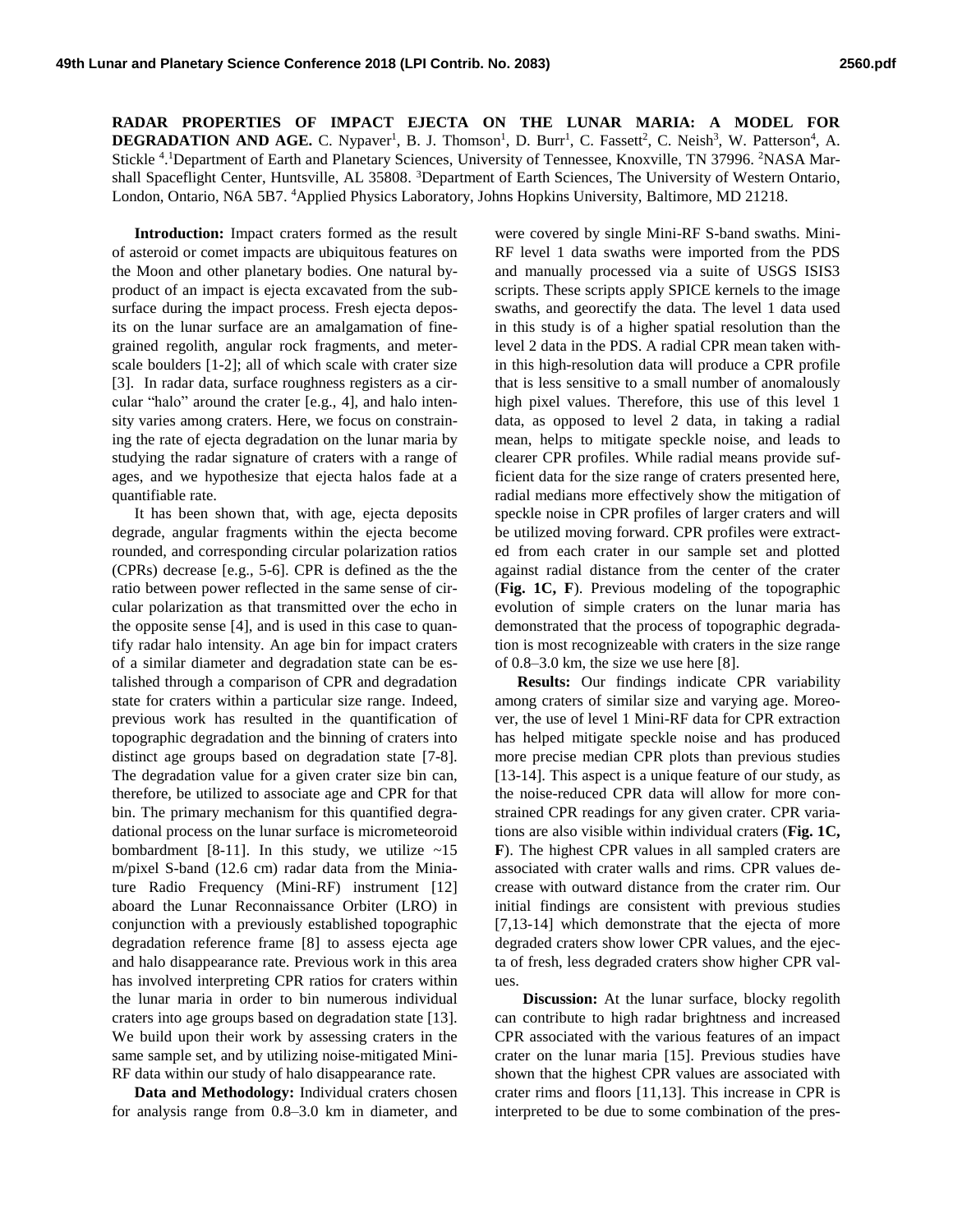**RADAR PROPERTIES OF IMPACT EJECTA ON THE LUNAR MARIA: A MODEL FOR DEGRADATION AND AGE.** C. Nypaver<sup>1</sup>, B. J. Thomson<sup>1</sup>, D. Burr<sup>1</sup>, C. Fassett<sup>2</sup>, C. Neish<sup>3</sup>, W. Patterson<sup>4</sup>, A. Stickle <sup>4</sup>. Department of Earth and Planetary Sciences, University of Tennessee, Knoxville, TN 37996. <sup>2</sup>NASA Marshall Spaceflight Center, Huntsville, AL 35808. <sup>3</sup>Department of Earth Sciences, The University of Western Ontario, London, Ontario, N6A 5B7. <sup>4</sup>Applied Physics Laboratory, Johns Hopkins University, Baltimore, MD 21218.

**Introduction:** Impact craters formed as the result of asteroid or comet impacts are ubiquitous features on the Moon and other planetary bodies. One natural byproduct of an impact is ejecta excavated from the subsurface during the impact process. Fresh ejecta deposits on the lunar surface are an amalgamation of finegrained regolith, angular rock fragments, and meterscale boulders [1-2]; all of which scale with crater size [3]. In radar data, surface roughness registers as a circular "halo" around the crater [e.g., 4], and halo intensity varies among craters. Here, we focus on constraining the rate of ejecta degradation on the lunar maria by studying the radar signature of craters with a range of ages, and we hypothesize that ejecta halos fade at a quantifiable rate.

It has been shown that, with age, ejecta deposits degrade, angular fragments within the ejecta become rounded, and corresponding circular polarization ratios (CPRs) decrease [e.g., 5-6]. CPR is defined as the the ratio between power reflected in the same sense of circular polarization as that transmitted over the echo in the opposite sense [4], and is used in this case to quantify radar halo intensity. An age bin for impact craters of a similar diameter and degradation state can be estalished through a comparison of CPR and degradation state for craters within a particular size range. Indeed, previous work has resulted in the quantification of topographic degradation and the binning of craters into distinct age groups based on degradation state [7-8]. The degradation value for a given crater size bin can, therefore, be utilized to associate age and CPR for that bin. The primary mechanism for this quantified degradational process on the lunar surface is micrometeoroid bombardment [8-11]. In this study, we utilize  $\sim 15$ m/pixel S-band (12.6 cm) radar data from the Miniature Radio Frequency (Mini-RF) instrument [12] aboard the Lunar Reconnaissance Orbiter (LRO) in conjunction with a previously established topographic degradation reference frame [8] to assess ejecta age and halo disappearance rate. Previous work in this area has involved interpreting CPR ratios for craters within the lunar maria in order to bin numerous individual craters into age groups based on degradation state [13]. We build upon their work by assessing craters in the same sample set, and by utilizing noise-mitigated Mini-RF data within our study of halo disappearance rate.

**Data and Methodology:** Individual craters chosen for analysis range from 0.8–3.0 km in diameter, and

were covered by single Mini-RF S-band swaths. Mini-RF level 1 data swaths were imported from the PDS and manually processed via a suite of USGS ISIS3 scripts. These scripts apply SPICE kernels to the image swaths, and georectify the data. The level 1 data used in this study is of a higher spatial resolution than the level 2 data in the PDS. A radial CPR mean taken within this high-resolution data will produce a CPR profile that is less sensitive to a small number of anomalously high pixel values. Therefore, this use of this level 1 data, as opposed to level 2 data, in taking a radial mean, helps to mitigate speckle noise, and leads to clearer CPR profiles. While radial means provide sufficient data for the size range of craters presented here, radial medians more effectively show the mitigation of speckle noise in CPR profiles of larger craters and will be utilized moving forward. CPR profiles were extracted from each crater in our sample set and plotted against radial distance from the center of the crater (**Fig. 1C, F**). Previous modeling of the topographic evolution of simple craters on the lunar maria has demonstrated that the process of topographic degradation is most recognizeable with craters in the size range of 0.8–3.0 km, the size we use here [8].

**Results:** Our findings indicate CPR variability among craters of similar size and varying age. Moreover, the use of level 1 Mini-RF data for CPR extraction has helped mitigate speckle noise and has produced more precise median CPR plots than previous studies [13-14]. This aspect is a unique feature of our study, as the noise-reduced CPR data will allow for more constrained CPR readings for any given crater. CPR variations are also visible within individual craters (**Fig. 1C, F**). The highest CPR values in all sampled craters are associated with crater walls and rims. CPR values decrease with outward distance from the crater rim. Our initial findings are consistent with previous studies [7,13-14] which demonstrate that the ejecta of more degraded craters show lower CPR values, and the ejecta of fresh, less degraded craters show higher CPR values.

**Discussion:** At the lunar surface, blocky regolith can contribute to high radar brightness and increased CPR associated with the various features of an impact crater on the lunar maria [15]. Previous studies have shown that the highest CPR values are associated with crater rims and floors [11,13]. This increase in CPR is interpreted to be due to some combination of the pres